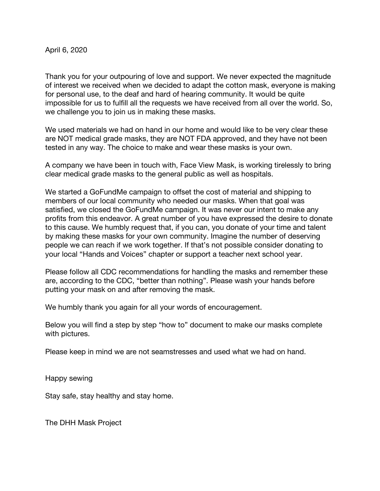April 6, 2020

Thank you for your outpouring of love and support. We never expected the magnitude of interest we received when we decided to adapt the cotton mask, everyone is making for personal use, to the deaf and hard of hearing community. It would be quite impossible for us to fulfill all the requests we have received from all over the world. So, we challenge you to join us in making these masks.

We used materials we had on hand in our home and would like to be very clear these are NOT medical grade masks, they are NOT FDA approved, and they have not been tested in any way. The choice to make and wear these masks is your own.

A company we have been in touch with, Face View Mask, is working tirelessly to bring clear medical grade masks to the general public as well as hospitals.

We started a GoFundMe campaign to offset the cost of material and shipping to members of our local community who needed our masks. When that goal was satisfied, we closed the GoFundMe campaign. It was never our intent to make any profits from this endeavor. A great number of you have expressed the desire to donate to this cause. We humbly request that, if you can, you donate of your time and talent by making these masks for your own community. Imagine the number of deserving people we can reach if we work together. If that's not possible consider donating to your local "Hands and Voices" chapter or support a teacher next school year.

Please follow all CDC recommendations for handling the masks and remember these are, according to the CDC, "better than nothing". Please wash your hands before putting your mask on and after removing the mask.

We humbly thank you again for all your words of encouragement.

Below you will find a step by step "how to" document to make our masks complete with pictures.

Please keep in mind we are not seamstresses and used what we had on hand.

Happy sewing

Stay safe, stay healthy and stay home.

The DHH Mask Project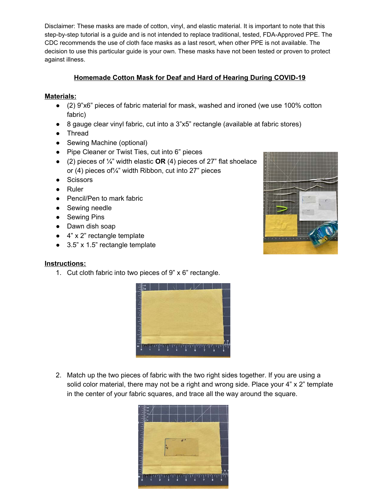## Homemade Cotton Mask for Deaf and Hard of Hearing During COVID-19

## **Materials:**

- (2) 9"x6" pieces of fabric material for mask, washed and ironed (we use 100% cotton fabric)
- 8 gauge clear vinyl fabric, cut into a 3"x5" rectangle (available at fabric stores)
- Thread
- Sewing Machine (optional)
- Pipe Cleaner or Twist Ties, cut into 6" pieces
- (2) pieces of  $\frac{1}{4}$ " width elastic OR (4) pieces of 27" flat shoelace or (4) pieces of 1/4" width Ribbon, cut into 27" pieces
- Scissors
- $\bullet$  Ruler
- Pencil/Pen to mark fabric
- Sewing needle
- Sewing Pins
- Dawn dish soap
- $\bullet$  4" x 2" rectangle template
- $\bullet$  3.5" x 1.5" rectangle template



## **Instructions:**

1. Cut cloth fabric into two pieces of 9" x 6" rectangle.



2. Match up the two pieces of fabric with the two right sides together. If you are using a solid color material, there may not be a right and wrong side. Place your 4" x 2" template in the center of your fabric squares, and trace all the way around the square.

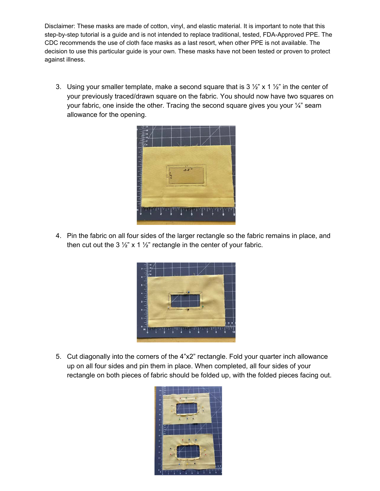3. Using your smaller template, make a second square that is  $3\frac{1}{2}$ " x  $1\frac{1}{2}$ " in the center of your previously traced/drawn square on the fabric. You should now have two squares on your fabric, one inside the other. Tracing the second square gives you your 1/4" seam allowance for the opening.



4. Pin the fabric on all four sides of the larger rectangle so the fabric remains in place, and then cut out the 3  $\frac{1}{2}$ " x 1  $\frac{1}{2}$ " rectangle in the center of your fabric.



5. Cut diagonally into the corners of the 4"x2" rectangle. Fold your quarter inch allowance up on all four sides and pin them in place. When completed, all four sides of your rectangle on both pieces of fabric should be folded up, with the folded pieces facing out.

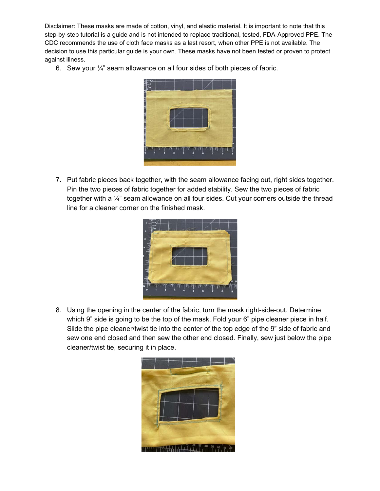6. Sew your 1/4" seam allowance on all four sides of both pieces of fabric.



7. Put fabric pieces back together, with the seam allowance facing out, right sides together. Pin the two pieces of fabric together for added stability. Sew the two pieces of fabric together with a 1/4" seam allowance on all four sides. Cut your corners outside the thread line for a cleaner corner on the finished mask.



8. Using the opening in the center of the fabric, turn the mask right-side-out. Determine which 9" side is going to be the top of the mask. Fold your 6" pipe cleaner piece in half. Slide the pipe cleaner/twist tie into the center of the top edge of the 9" side of fabric and sew one end closed and then sew the other end closed. Finally, sew just below the pipe cleaner/twist tie, securing it in place.

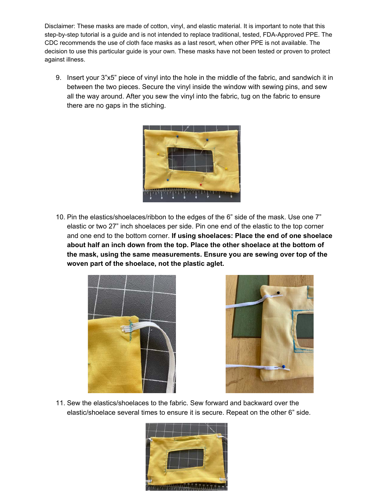9. Insert your 3"x5" piece of vinyl into the hole in the middle of the fabric, and sandwich it in between the two pieces. Secure the vinyl inside the window with sewing pins, and sew all the way around. After you sew the vinyl into the fabric, tug on the fabric to ensure there are no gaps in the stiching.



10. Pin the elastics/shoelaces/ribbon to the edges of the 6" side of the mask. Use one 7" elastic or two 27" inch shoelaces per side. Pin one end of the elastic to the top corner and one end to the bottom corner. If using shoelaces: Place the end of one shoelace about half an inch down from the top. Place the other shoelace at the bottom of the mask, using the same measurements. Ensure you are sewing over top of the woven part of the shoelace, not the plastic aglet.





11. Sew the elastics/shoelaces to the fabric. Sew forward and backward over the elastic/shoelace several times to ensure it is secure. Repeat on the other 6" side.

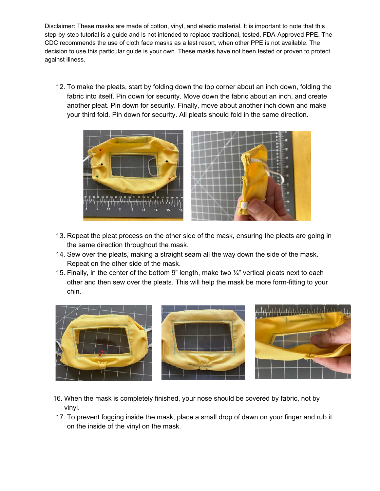12. To make the pleats, start by folding down the top corner about an inch down, folding the fabric into itself. Pin down for security. Move down the fabric about an inch, and create another pleat. Pin down for security. Finally, move about another inch down and make your third fold. Pin down for security. All pleats should fold in the same direction.



- 13. Repeat the pleat process on the other side of the mask, ensuring the pleats are going in the same direction throughout the mask.
- 14. Sew over the pleats, making a straight seam all the way down the side of the mask. Repeat on the other side of the mask.
- 15. Finally, in the center of the bottom 9" length, make two  $\frac{1}{4}$ " vertical pleats next to each other and then sew over the pleats. This will help the mask be more form-fitting to your chin.



- 16. When the mask is completely finished, your nose should be covered by fabric, not by vinyl.
- 17. To prevent fogging inside the mask, place a small drop of dawn on your finger and rub it on the inside of the vinyl on the mask.